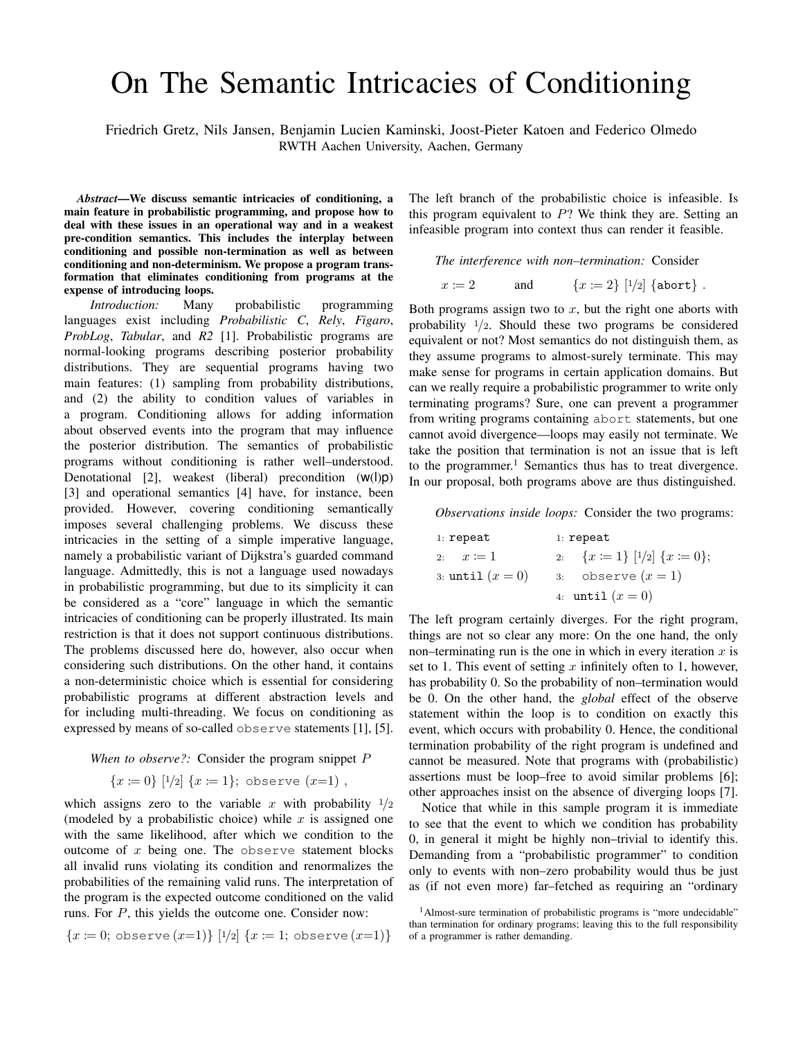## On The Semantic Intricacies of Conditioning

Friedrich Gretz, Nils Jansen, Benjamin Lucien Kaminski, Joost-Pieter Katoen and Federico Olmedo RWTH Aachen University, Aachen, Germany

*Abstract*—We discuss semantic intricacies of conditioning, a main feature in probabilistic programming, and propose how to deal with these issues in an operational way and in a weakest pre-condition semantics. This includes the interplay between conditioning and possible non-termination as well as between conditioning and non-determinism. We propose a program transformation that eliminates conditioning from programs at the expense of introducing loops.

*Introduction:* Many probabilistic programming languages exist including *Probabilistic C*, *Rely*, *Figaro*, *ProbLog*, *Tabular*, and *R2* [1]. Probabilistic programs are normal-looking programs describing posterior probability distributions. They are sequential programs having two main features: (1) sampling from probability distributions, and (2) the ability to condition values of variables in a program. Conditioning allows for adding information about observed events into the program that may influence the posterior distribution. The semantics of probabilistic programs without conditioning is rather well–understood. Denotational [2], weakest (liberal) precondition  $(w(1)p)$ [3] and operational semantics [4] have, for instance, been provided. However, covering conditioning semantically imposes several challenging problems. We discuss these intricacies in the setting of a simple imperative language, namely a probabilistic variant of Dijkstra's guarded command language. Admittedly, this is not a language used nowadays in probabilistic programming, but due to its simplicity it can be considered as a "core" language in which the semantic intricacies of conditioning can be properly illustrated. Its main restriction is that it does not support continuous distributions. The problems discussed here do, however, also occur when considering such distributions. On the other hand, it contains a non-deterministic choice which is essential for considering probabilistic programs at different abstraction levels and for including multi-threading. We focus on conditioning as expressed by means of so-called observe statements [1], [5].

## *When to observe?:* Consider the program snippet P

$$
{x \coloneqq 0} [1/2] {x \coloneqq 1}; \text{ observe } (x=1),
$$

which assigns zero to the variable x with probability  $\frac{1}{2}$ (modeled by a probabilistic choice) while  $x$  is assigned one with the same likelihood, after which we condition to the outcome of  $x$  being one. The observe statement blocks all invalid runs violating its condition and renormalizes the probabilities of the remaining valid runs. The interpretation of the program is the expected outcome conditioned on the valid runs. For P, this yields the outcome one. Consider now:

$$
\{x \coloneqq 0; \text{ observe } (x=1)\} [1/2] \{x \coloneqq 1; \text{ observe } (x=1)\}\
$$

The left branch of the probabilistic choice is infeasible. Is this program equivalent to  $P$ ? We think they are. Setting an infeasible program into context thus can render it feasible.

*The interference with non–termination:* Consider  $x \coloneqq 2$  and  $\{x \coloneqq 2\}$   $[1/2]$   $\{\texttt{abort}\}$ .

Both programs assign two to  $x$ , but the right one aborts with probability  $\frac{1}{2}$ . Should these two programs be considered equivalent or not? Most semantics do not distinguish them, as they assume programs to almost-surely terminate. This may make sense for programs in certain application domains. But can we really require a probabilistic programmer to write only terminating programs? Sure, one can prevent a programmer from writing programs containing abort statements, but one cannot avoid divergence—loops may easily not terminate. We take the position that termination is not an issue that is left to the programmer.<sup>1</sup> Semantics thus has to treat divergence. In our proposal, both programs above are thus distinguished.

*Observations inside loops:* Consider the two programs:

| $1:$ repeat        | $1:$ repeat                                                 |
|--------------------|-------------------------------------------------------------|
| 2: $x \coloneqq 1$ | 2: $\{x := 1\}$ $\lfloor \frac{1}{2} \rfloor$ $\{x := 0\};$ |
| 3: until $(x=0)$   | 3: observe $(x=1)$                                          |
|                    | 4: until $(x=0)$                                            |

The left program certainly diverges. For the right program, things are not so clear any more: On the one hand, the only non–terminating run is the one in which in every iteration  $x$  is set to 1. This event of setting x infinitely often to 1, however, has probability 0. So the probability of non–termination would be 0. On the other hand, the *global* effect of the observe statement within the loop is to condition on exactly this event, which occurs with probability 0. Hence, the conditional termination probability of the right program is undefined and cannot be measured. Note that programs with (probabilistic) assertions must be loop–free to avoid similar problems [6]; other approaches insist on the absence of diverging loops [7].

Notice that while in this sample program it is immediate to see that the event to which we condition has probability 0, in general it might be highly non–trivial to identify this. Demanding from a "probabilistic programmer" to condition only to events with non–zero probability would thus be just as (if not even more) far–fetched as requiring an "ordinary

<sup>&</sup>lt;sup>1</sup>Almost-sure termination of probabilistic programs is "more undecidable" than termination for ordinary programs; leaving this to the full responsibility of a programmer is rather demanding.